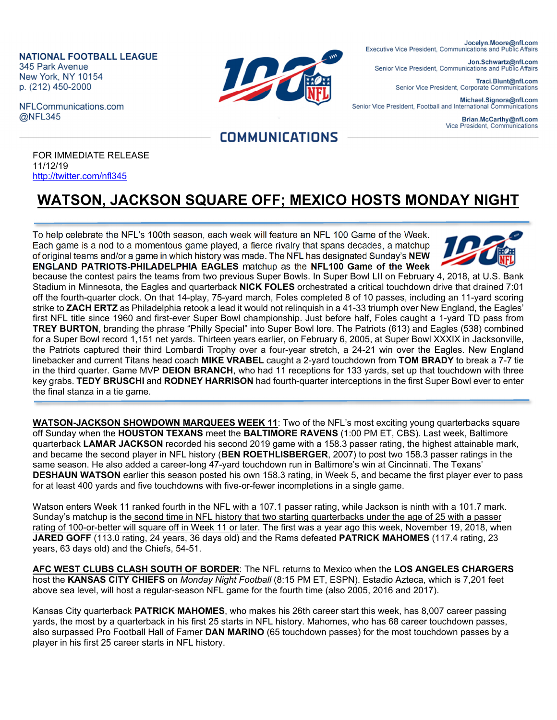**NATIONAL FOOTBALL LEAGUE** 345 Park Avenue New York, NY 10154 p. (212) 450-2000

NFLCommunications.com @NFL345



Jocelyn.Moore@nfl.com Executive Vice President, Communications and Public Affairs

Jon.Schwartz@nfl.com Senior Vice President, Communications and Public Affairs

> Traci.Blunt@nfl.com Senior Vice President, Corporate Communications

Michael.Signora@nfl.com Senior Vice President, Football and International Communications

> Brian.McCarthy@nfl.com Vice President, Communications

## **COMMUNICATIONS**

FOR IMMEDIATE RELEASE 11/12/19 http://twitter.com/nfl345

## **WATSON, JACKSON SQUARE OFF; MEXICO HOSTS MONDAY NIGHT**

To help celebrate the NFL's 100th season, each week will feature an NFL 100 Game of the Week. Each game is a nod to a momentous game played, a fierce rivalry that spans decades, a matchup of original teams and/or a game in which history was made. The NFL has designated Sunday's **NEW ENGLAND PATRIOTS-PHILADELPHIA EAGLES** matchup as the **NFL100 Game of the Week**



because the contest pairs the teams from two previous Super Bowls. In Super Bowl LII on February 4, 2018, at U.S. Bank Stadium in Minnesota, the Eagles and quarterback **NICK FOLES** orchestrated a critical touchdown drive that drained 7:01 off the fourth-quarter clock. On that 14-play, 75-yard march, Foles completed 8 of 10 passes, including an 11-yard scoring strike to **ZACH ERTZ** as Philadelphia retook a lead it would not relinquish in a 41-33 triumph over New England, the Eagles' first NFL title since 1960 and first-ever Super Bowl championship. Just before half, Foles caught a 1-yard TD pass from **TREY BURTON**, branding the phrase "Philly Special" into Super Bowl lore. The Patriots (613) and Eagles (538) combined for a Super Bowl record 1,151 net yards. Thirteen years earlier, on February 6, 2005, at Super Bowl XXXIX in Jacksonville, the Patriots captured their third Lombardi Trophy over a four-year stretch, a 24-21 win over the Eagles. New England linebacker and current Titans head coach **MIKE VRABEL** caught a 2-yard touchdown from **TOM BRADY** to break a 7-7 tie in the third quarter. Game MVP **DEION BRANCH**, who had 11 receptions for 133 yards, set up that touchdown with three key grabs. **TEDY BRUSCHI** and **RODNEY HARRISON** had fourth-quarter interceptions in the first Super Bowl ever to enter the final stanza in a tie game.

**WATSON-JACKSON SHOWDOWN MARQUEES WEEK 11**: Two of the NFL's most exciting young quarterbacks square off Sunday when the **HOUSTON TEXANS** meet the **BALTIMORE RAVENS** (1:00 PM ET, CBS). Last week, Baltimore quarterback **LAMAR JACKSON** recorded his second 2019 game with a 158.3 passer rating, the highest attainable mark, and became the second player in NFL history (**BEN ROETHLISBERGER**, 2007) to post two 158.3 passer ratings in the same season. He also added a career-long 47-yard touchdown run in Baltimore's win at Cincinnati. The Texans' **DESHAUN WATSON** earlier this season posted his own 158.3 rating, in Week 5, and became the first player ever to pass for at least 400 yards and five touchdowns with five-or-fewer incompletions in a single game.

Watson enters Week 11 ranked fourth in the NFL with a 107.1 passer rating, while Jackson is ninth with a 101.7 mark. Sunday's matchup is the second time in NFL history that two starting quarterbacks under the age of 25 with a passer rating of 100-or-better will square off in Week 11 or later. The first was a year ago this week, November 19, 2018, when **JARED GOFF** (113.0 rating, 24 years, 36 days old) and the Rams defeated **PATRICK MAHOMES** (117.4 rating, 23 years, 63 days old) and the Chiefs, 54-51.

**AFC WEST CLUBS CLASH SOUTH OF BORDER**: The NFL returns to Mexico when the **LOS ANGELES CHARGERS** host the **KANSAS CITY CHIEFS** on *Monday Night Football* (8:15 PM ET, ESPN). Estadio Azteca, which is 7,201 feet above sea level, will host a regular-season NFL game for the fourth time (also 2005, 2016 and 2017).

Kansas City quarterback **PATRICK MAHOMES**, who makes his 26th career start this week, has 8,007 career passing yards, the most by a quarterback in his first 25 starts in NFL history. Mahomes, who has 68 career touchdown passes, also surpassed Pro Football Hall of Famer **DAN MARINO** (65 touchdown passes) for the most touchdown passes by a player in his first 25 career starts in NFL history.